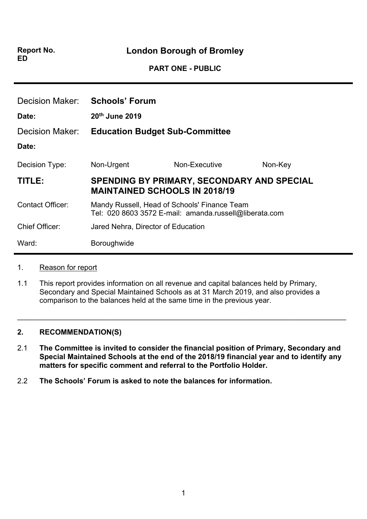**Report No. ED**

**London Borough of Bromley**

**PART ONE - PUBLIC**

| Decision Maker:          | <b>Schools' Forum</b>                                                                                  |                                                   |         |
|--------------------------|--------------------------------------------------------------------------------------------------------|---------------------------------------------------|---------|
| Date:<br>Decision Maker: | 20th June 2019<br><b>Education Budget Sub-Committee</b>                                                |                                                   |         |
| Date:                    |                                                                                                        |                                                   |         |
| Decision Type:           | Non-Urgent                                                                                             | Non-Executive                                     | Non-Key |
| TITLE:                   | <b>MAINTAINED SCHOOLS IN 2018/19</b>                                                                   | <b>SPENDING BY PRIMARY, SECONDARY AND SPECIAL</b> |         |
| <b>Contact Officer:</b>  | Mandy Russell, Head of Schools' Finance Team<br>Tel: 020 8603 3572 E-mail: amanda.russell@liberata.com |                                                   |         |
| <b>Chief Officer:</b>    | Jared Nehra, Director of Education                                                                     |                                                   |         |
| Ward:                    | Boroughwide                                                                                            |                                                   |         |

#### 1. Reason for report

1.1 This report provides information on all revenue and capital balances held by Primary, Secondary and Special Maintained Schools as at 31 March 2019, and also provides a comparison to the balances held at the same time in the previous year.

#### **2. RECOMMENDATION(S)**

2.1 **The Committee is invited to consider the financial position of Primary, Secondary and Special Maintained Schools at the end of the 2018/19 financial year and to identify any matters for specific comment and referral to the Portfolio Holder.**

 $\_$ 

2.2 **The Schools' Forum is asked to note the balances for information.**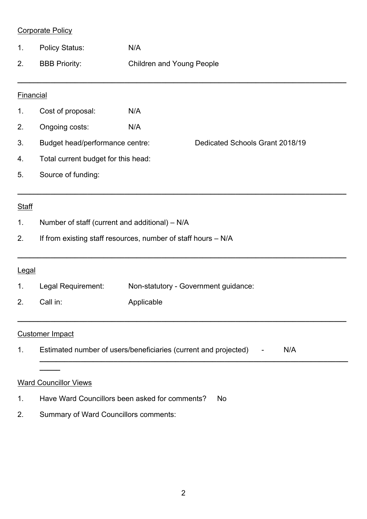## Corporate Policy

- 1. Policy Status: N/A
- 2. BBB Priority: Children and Young People

**\_\_\_\_\_\_\_\_\_\_\_\_\_\_\_\_\_\_\_\_\_\_\_\_\_\_\_\_\_\_\_\_\_\_\_\_\_\_\_\_\_\_\_\_\_\_\_\_\_\_\_\_\_\_\_\_\_\_\_\_\_\_\_\_\_\_\_\_\_\_\_\_\_\_\_\_\_\_\_\_**

**\_\_\_\_\_\_\_\_\_\_\_\_\_\_\_\_\_\_\_\_\_\_\_\_\_\_\_\_\_\_\_\_\_\_\_\_\_\_\_\_\_\_\_\_\_\_\_\_\_\_\_\_\_\_\_\_\_\_\_\_\_\_\_\_\_\_\_\_\_\_\_\_\_\_\_\_\_\_\_\_**

**\_\_\_\_\_\_\_\_\_\_\_\_\_\_\_\_\_\_\_\_\_\_\_\_\_\_\_\_\_\_\_\_\_\_\_\_\_\_\_\_\_\_\_\_\_\_\_\_\_\_\_\_\_\_\_\_\_\_\_\_\_\_\_\_\_\_\_\_\_\_\_\_\_\_\_\_\_\_\_\_**

**\_\_\_\_\_\_\_\_\_\_\_\_\_\_\_\_\_\_\_\_\_\_\_\_\_\_\_\_\_\_\_\_\_\_\_\_\_\_\_\_\_\_\_\_\_\_\_\_\_\_\_\_\_\_\_\_\_\_\_\_\_\_\_\_\_\_\_\_\_\_\_\_\_\_\_\_\_\_\_\_**

**\_\_\_\_\_\_\_\_\_\_\_\_\_\_\_\_\_\_\_\_\_\_\_\_\_\_\_\_\_\_\_\_\_\_\_\_\_\_\_\_\_\_\_\_\_\_\_\_\_\_\_\_\_\_\_\_\_\_\_\_\_\_\_\_\_\_\_\_\_\_\_\_\_\_\_**

## Financial

- 1. Cost of proposal: N/A
- 2. Ongoing costs: N/A
- 3. Budget head/performance centre: Dedicated Schools Grant 2018/19

- 4. Total current budget for this head:
- 5. Source of funding:

# **Staff**

- 1. Number of staff (current and additional) N/A
- 2. If from existing staff resources, number of staff hours N/A

### **Legal**

- 1. Legal Requirement: Non-statutory Government guidance:
- 2. Call in: Applicable

### Customer Impact

1. Estimated number of users/beneficiaries (current and projected) - N/A

### Ward Councillor Views

**\_\_\_\_\_**

- 1. Have Ward Councillors been asked for comments? No
- 2. Summary of Ward Councillors comments: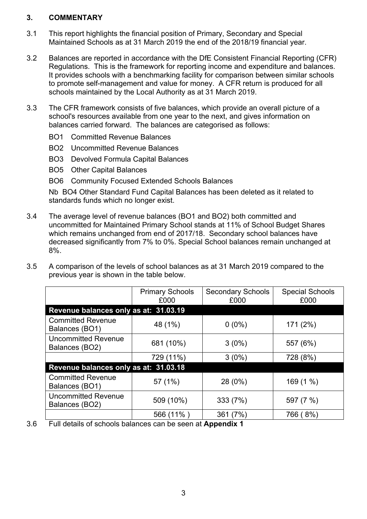#### **3. COMMENTARY**

- 3.1 This report highlights the financial position of Primary, Secondary and Special Maintained Schools as at 31 March 2019 the end of the 2018/19 financial year.
- 3.2 Balances are reported in accordance with the DfE Consistent Financial Reporting (CFR) Regulations. This is the framework for reporting income and expenditure and balances. It provides schools with a benchmarking facility for comparison between similar schools to promote self-management and value for money. A CFR return is produced for all schools maintained by the Local Authority as at 31 March 2019.
- 3.3 The CFR framework consists of five balances, which provide an overall picture of a school's resources available from one year to the next, and gives information on balances carried forward. The balances are categorised as follows:
	- BO1 Committed Revenue Balances
	- BO2 Uncommitted Revenue Balances
	- BO3 Devolved Formula Capital Balances
	- BO5 Other Capital Balances
	- BO6 Community Focused Extended Schools Balances

Nb BO4 Other Standard Fund Capital Balances has been deleted as it related to standards funds which no longer exist.

- 3.4 The average level of revenue balances (BO1 and BO2) both committed and uncommitted for Maintained Primary School stands at 11% of School Budget Shares which remains unchanged from end of 2017/18. Secondary school balances have decreased significantly from 7% to 0%. Special School balances remain unchanged at 8%.
- 3.5 A comparison of the levels of school balances as at 31 March 2019 compared to the previous year is shown in the table below.

|                                              | <b>Primary Schools</b><br>£000 | <b>Secondary Schools</b><br>£000 | <b>Special Schools</b><br>£000 |
|----------------------------------------------|--------------------------------|----------------------------------|--------------------------------|
| Revenue balances only as at: 31.03.19        |                                |                                  |                                |
| <b>Committed Revenue</b><br>Balances (BO1)   | 48 (1%)                        | $0(0\%)$                         | 171 (2%)                       |
| <b>Uncommitted Revenue</b><br>Balances (BO2) | 681 (10%)                      | $3(0\%)$                         | 557 (6%)                       |
|                                              | 729 (11%)                      | $3(0\%)$                         | 728 (8%)                       |
| Revenue balances only as at: 31.03.18        |                                |                                  |                                |
| <b>Committed Revenue</b><br>Balances (BO1)   | 57 (1%)                        | 28 (0%)                          | 169(1%                         |
| <b>Uncommitted Revenue</b><br>Balances (BO2) | 509 (10%)                      | 333 (7%)                         | 597 (7 %)                      |
|                                              | 566 (11%)                      | 361 (7%)                         | 766 (8%)                       |

3.6 Full details of schools balances can be seen at **Appendix 1**